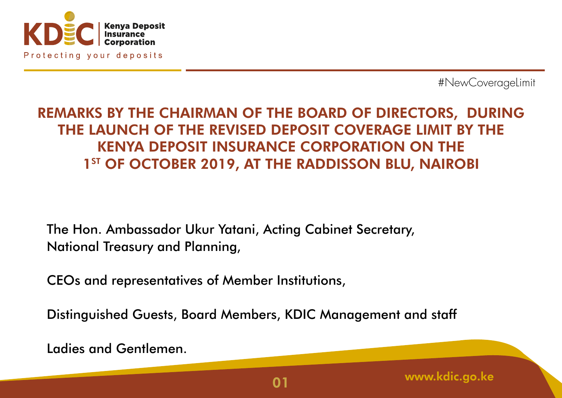

## REMARKS BY THE CHAIRMAN OF THE BOARD OF DIRECTORS, DURING THE LAUNCH OF THE REVISED DEPOSIT COVERAGE LIMIT BY THE KENYA DEPOSIT INSURANCE CORPORATION ON THE 1<sup>ST</sup> OF OCTOBER 2019, AT THE RADDISSON BLU, NAIROBI

The Hon. Ambassador Ukur Yatani, Acting Cabinet Secretary, National Treasury and Planning,

CEOs and representatives of Member Institutions,

Distinguished Guests, Board Members, KDIC Management and staff

Ladies and Gentlemen.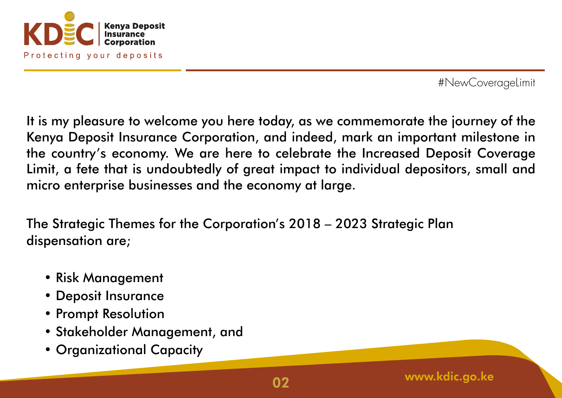

It is my pleasure to welcome you here today, as we commemorate the journey of the Kenya Deposit Insurance Corporation, and indeed, mark an important milestone in the country's economy. We are here to celebrate the Increased Deposit Coverage Limit, a fete that is undoubtedly of great impact to individual depositors, small and micro enterprise businesses and the economy at large.

The Strategic Themes for the Corporation's 2018 – 2023 Strategic Plan dispensation are;

- Risk Management
- Deposit Insurance
- Prompt Resolution
- Stakeholder Management, and
- Organizational Capacity

www.kdic.go.ke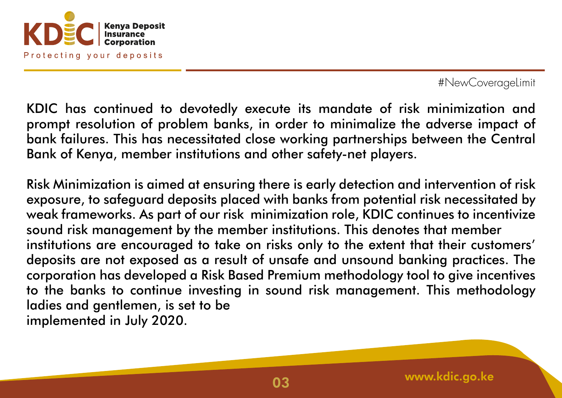

KDIC has continued to devotedly execute its mandate of risk minimization and prompt resolution of problem banks, in order to minimalize the adverse impact of bank failures. This has necessitated close working partnerships between the Central Bank of Kenya, member institutions and other safety-net players.

Risk Minimization is aimed at ensuring there is early detection and intervention of risk exposure, to safeguard deposits placed with banks from potential risk necessitated by weak frameworks. As part of our risk minimization role, KDIC continues to incentivize sound risk management by the member institutions. This denotes that member institutions are encouraged to take on risks only to the extent that their customers' deposits are not exposed as a result of unsafe and unsound banking practices. The corporation has developed a Risk Based Premium methodology tool to give incentives to the banks to continue investing in sound risk management. This methodology ladies and gentlemen, is set to be implemented in July 2020.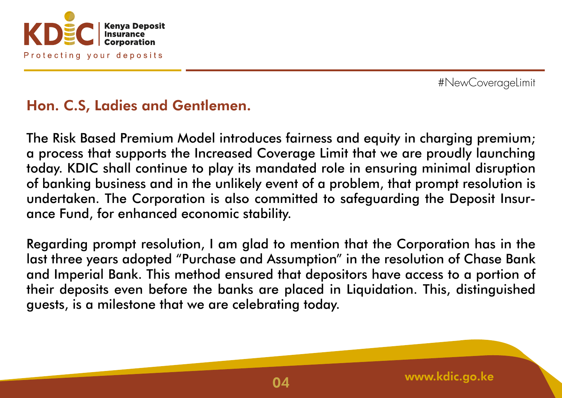

## Hon. C.S, Ladies and Gentlemen.

The Risk Based Premium Model introduces fairness and equity in charging premium; a process that supports the Increased Coverage Limit that we are proudly launching today. KDIC shall continue to play its mandated role in ensuring minimal disruption of banking business and in the unlikely event of a problem, that prompt resolution is undertaken. The Corporation is also committed to safeguarding the Deposit Insurance Fund, for enhanced economic stability.

Regarding prompt resolution, I am glad to mention that the Corporation has in the last three years adopted "Purchase and Assumption" in the resolution of Chase Bank and Imperial Bank. This method ensured that depositors have access to a portion of their deposits even before the banks are placed in Liquidation. This, distinguished guests, is a milestone that we are celebrating today.